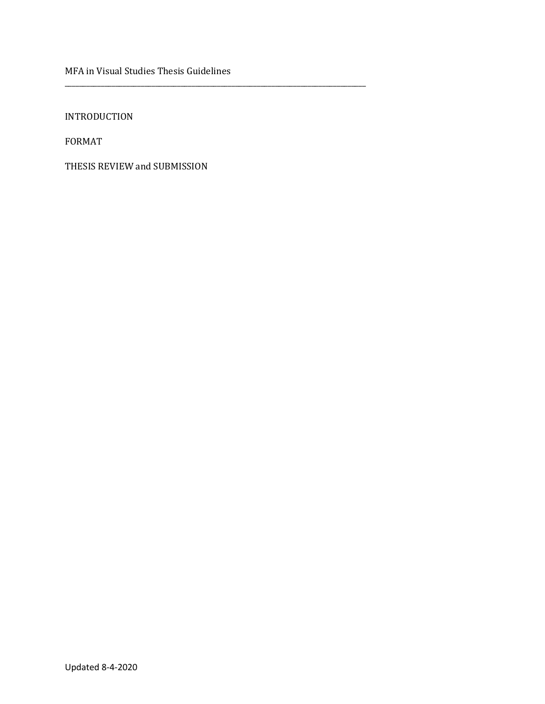MFA in Visual Studies Thesis Guidelines

\_\_\_\_\_\_\_\_\_\_\_\_\_\_\_\_\_\_\_\_\_\_\_\_\_\_\_\_\_\_\_\_\_\_\_\_\_\_\_\_\_\_\_\_\_\_\_\_\_\_\_\_\_\_\_\_\_\_\_\_\_\_\_\_\_\_\_\_\_\_\_\_\_\_\_\_\_\_\_\_\_\_\_

INTRODUCTION

FORMAT

THESIS REVIEW and SUBMISSION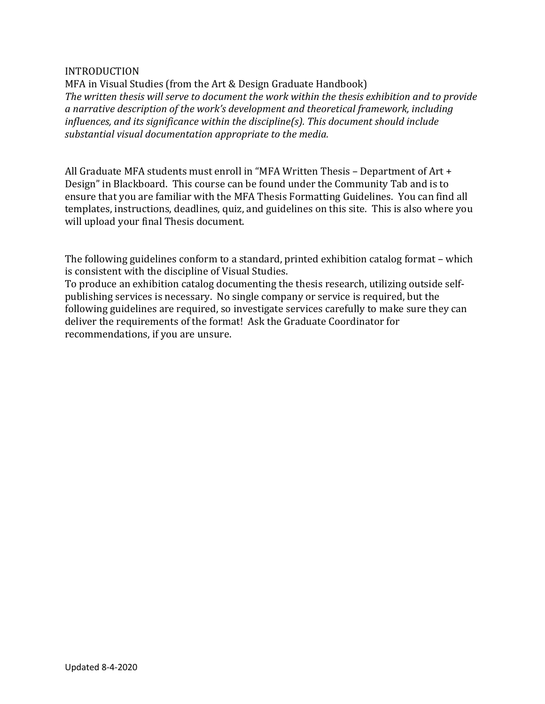# INTRODUCTION

MFA in Visual Studies (from the Art & Design Graduate Handbook) The written thesis will serve to document the work within the thesis exhibition and to provide a narrative description of the work's development and theoretical framework, including *influences, and its significance within the discipline(s). This document should include* substantial visual documentation appropriate to the media.

All Graduate MFA students must enroll in "MFA Written Thesis - Department of Art + Design" in Blackboard. This course can be found under the Community Tab and is to ensure that you are familiar with the MFA Thesis Formatting Guidelines. You can find all templates, instructions, deadlines, quiz, and guidelines on this site. This is also where you will upload your final Thesis document.

The following guidelines conform to a standard, printed exhibition catalog format - which is consistent with the discipline of Visual Studies.

To produce an exhibition catalog documenting the thesis research, utilizing outside selfpublishing services is necessary. No single company or service is required, but the following guidelines are required, so investigate services carefully to make sure they can deliver the requirements of the format! Ask the Graduate Coordinator for recommendations, if you are unsure.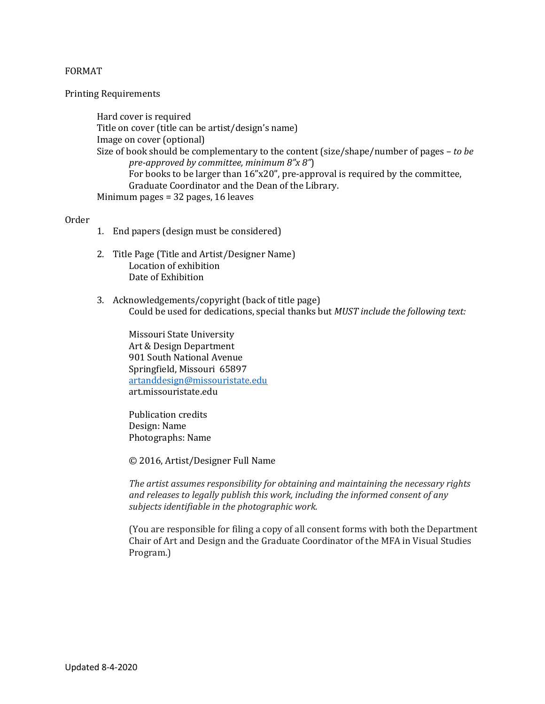# FORMAT

### Printing Requirements

Hard cover is required Title on cover (title can be artist/design's name) Image on cover (optional) Size of book should be complementary to the content (size/shape/number of pages - to be *pre-approved by committee, minimum 8"x 8"*) For books to be larger than  $16"x20"$ , pre-approval is required by the committee, Graduate Coordinator and the Dean of the Library. Minimum pages  $= 32$  pages, 16 leaves

### Order

- 1. End papers (design must be considered)
- 2. Title Page (Title and Artist/Designer Name) Location of exhibition Date of Exhibition
- 3. Acknowledgements/copyright (back of title page) Could be used for dedications, special thanks but *MUST* include the following text:

Missouri State University Art & Design Department 901 South National Avenue Springfield, Missouri 65897 artanddesign@missouristate.edu art.missouristate.edu 

Publication credits Design: Name Photographs: Name

© 2016, Artist/Designer Full Name

The artist assumes responsibility for obtaining and maintaining the necessary rights and releases to legally publish this work, including the informed consent of any subjects *identifiable in the photographic* work.

(You are responsible for filing a copy of all consent forms with both the Department Chair of Art and Design and the Graduate Coordinator of the MFA in Visual Studies Program.)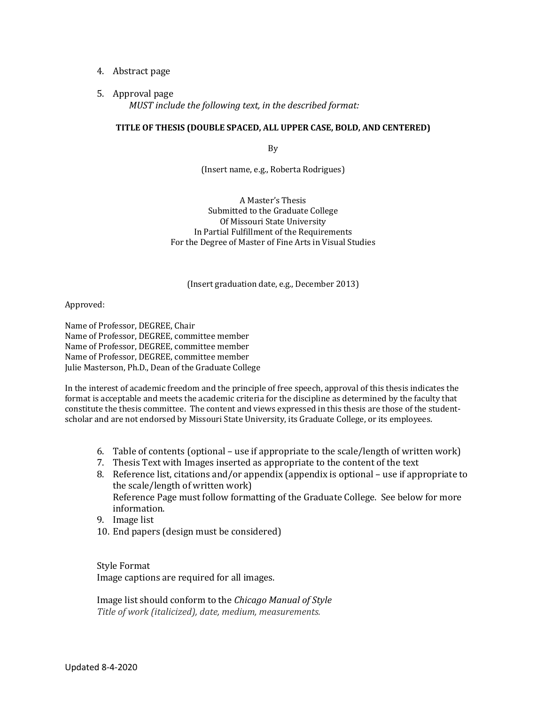# 4. Abstract page

### 5. Approval page

*MUST* include the following text, in the described format:

# TITLE OF THESIS (DOUBLE SPACED, ALL UPPER CASE, BOLD, AND CENTERED)

By

(Insert name, e.g., Roberta Rodrigues)

A Master's Thesis Submitted to the Graduate College Of Missouri State University In Partial Fulfillment of the Requirements For the Degree of Master of Fine Arts in Visual Studies

#### (Insert graduation date, e.g., December 2013)

#### Approved:

Name of Professor, DEGREE, Chair Name of Professor, DEGREE, committee member Name of Professor, DEGREE, committee member Name of Professor, DEGREE, committee member Julie Masterson, Ph.D., Dean of the Graduate College

In the interest of academic freedom and the principle of free speech, approval of this thesis indicates the format is acceptable and meets the academic criteria for the discipline as determined by the faculty that constitute the thesis committee. The content and views expressed in this thesis are those of the studentscholar and are not endorsed by Missouri State University, its Graduate College, or its employees.

- 6. Table of contents (optional use if appropriate to the scale/length of written work)
- 7. Thesis Text with Images inserted as appropriate to the content of the text
- 8. Reference list, citations and/or appendix (appendix is optional use if appropriate to the scale/length of written work) Reference Page must follow formatting of the Graduate College. See below for more information.
- 9. Image list
- 10. End papers (design must be considered)

Style Format Image captions are required for all images.

Image list should conform to the *Chicago Manual of Style* Title of work (italicized), date, medium, measurements.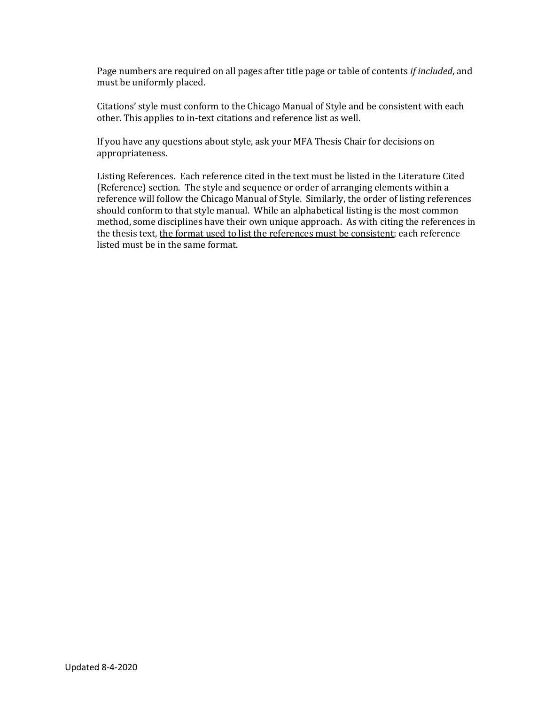Page numbers are required on all pages after title page or table of contents *if included*, and must be uniformly placed.

Citations' style must conform to the Chicago Manual of Style and be consistent with each other. This applies to in-text citations and reference list as well.

If you have any questions about style, ask your MFA Thesis Chair for decisions on appropriateness. 

Listing References. Each reference cited in the text must be listed in the Literature Cited (Reference) section. The style and sequence or order of arranging elements within a reference will follow the Chicago Manual of Style. Similarly, the order of listing references should conform to that style manual. While an alphabetical listing is the most common method, some disciplines have their own unique approach. As with citing the references in the thesis text, the format used to list the references must be consistent; each reference listed must be in the same format.